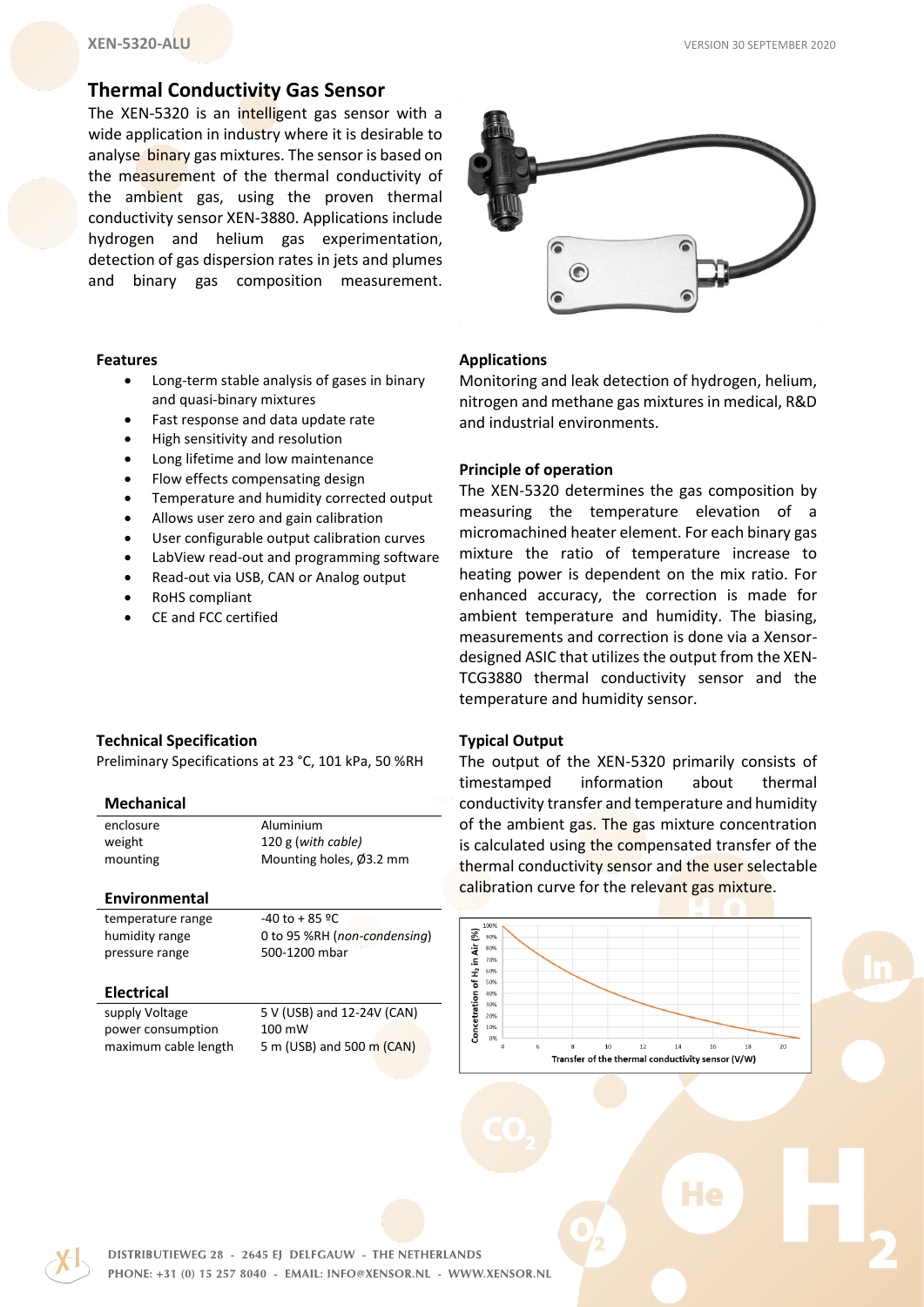# **Thermal Conductivity Gas Sensor**

The XEN-5320 is an intelligent gas sensor with a wide application in industry where it is desirable to analyse binary gas mixtures. The sensor is based on the measurement of the thermal conductivity of the ambient gas, using the proven thermal conductivity sensor XEN-3880. Applications include hydrogen and helium gas experimentation, detection of gas dispersion rates in jets and plumes and binary gas composition measurement.



#### **Features**

- Long-term stable analysis of gases in binary and quasi-binary mixtures
- Fast response and data update rate
- High sensitivity and resolution
- Long lifetime and low maintenance
- Flow effects compensating design
- Temperature and humidity corrected output
- Allows user zero and gain calibration
- User configurable output calibration curves
- LabView read-out and programming software
- Read-out via USB, CAN or Analog output
- RoHS compliant
- CE and FCC certified

# **Applications**

Monitoring and leak detection of hydrogen, helium, nitrogen and methane gas mixtures in medical, R&D and industrial environments.

### **Principle of operation**

The XEN-5320 determines the gas composition by measuring the temperature elevation of a micromachined heater element. For each binary gas mixture the ratio of temperature increase to heating power is dependent on the mix ratio. For enhanced accuracy, the correction is made for ambient temperature and humidity. The biasing, measurements and correction is done via a Xensordesigned ASIC that utilizes the output from the XEN-TCG3880 thermal conductivity sensor and the temperature and humidity sensor.

### **Typical Output**

The output of the XEN-5320 primarily consists of timestamped information about thermal conductivity transfer and temperature and humidity of the ambient gas. The gas mixture concentration is calculated using the compensated transfer of the thermal conductivity sensor and the user selectable calibration curve for the relevant gas mixture.



He

#### **Technical Specification**

Preliminary Specifications at 23 °C, 101 kPa, 50 %RH

#### **Mechanical**

enclosure Aluminium

weight 120 g (*with cable)* mounting Mounting holes, Ø3.2 mm

### **Environmental**

temperature range  $-40$  to + 85 °C

humidity range 0 to 95 %RH (*non-condensing*) pressure range 500-1200 mbar

#### **Electrical**

| supply Voltage       |  |
|----------------------|--|
| power consumption    |  |
| maximum cable length |  |

 $5$  V (USB) and 12-24V (CAN)  $100 \text{ mW}$ 5 m (USB) and 500 m (CAN)